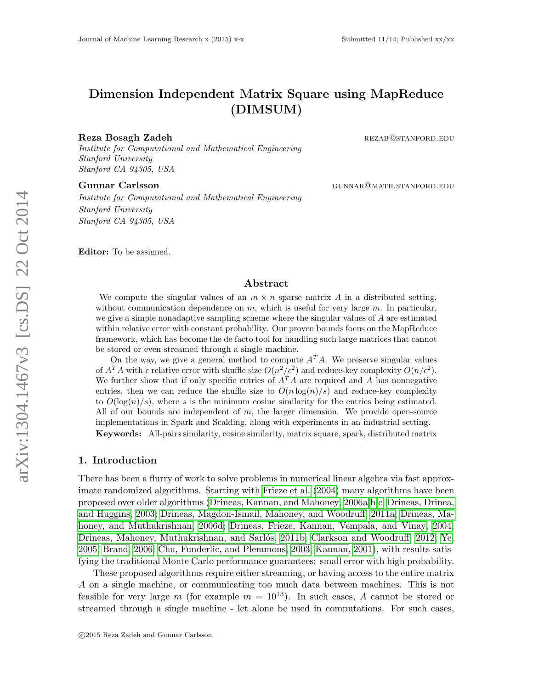# Dimension Independent Matrix Square using MapReduce (DIMSUM)

#### Reza Bosagh Zadeh **reading the set of the set of the set of the set of the set of the set of the set of the set of the set of the set of the set of the set of the set of the set of the set of the set of the set of the set**

Institute for Computational and Mathematical Engineering Stanford University Stanford CA 94305, USA

Institute for Computational and Mathematical Engineering Stanford University Stanford CA 94305, USA

Editor: To be assigned.

## Abstract

We compute the singular values of an  $m \times n$  sparse matrix A in a distributed setting, without communication dependence on  $m$ , which is useful for very large  $m$ . In particular, we give a simple nonadaptive sampling scheme where the singular values of A are estimated within relative error with constant probability. Our proven bounds focus on the MapReduce framework, which has become the de facto tool for handling such large matrices that cannot be stored or even streamed through a single machine.

On the way, we give a general method to compute  $A<sup>T</sup>A$ . We preserve singular values of  $A^T A$  with  $\epsilon$  relative error with shuffle size  $O(n^2/\epsilon^2)$  and reduce-key complexity  $O(n/\epsilon^2)$ . We further show that if only specific entries of  $A<sup>T</sup>A$  are required and A has nonnegative entries, then we can reduce the shuffle size to  $O(n \log(n)/s)$  and reduce-key complexity to  $O(\log(n)/s)$ , where s is the minimum cosine similarity for the entries being estimated. All of our bounds are independent of  $m$ , the larger dimension. We provide open-source implementations in Spark and Scalding, along with experiments in an industrial setting. Keywords: All-pairs similarity, cosine similarity, matrix square, spark, distributed matrix

#### 1. Introduction

There has been a flurry of work to solve problems in numerical linear algebra via fast approximate randomized algorithms. Starting with [Frieze et al.](#page-14-0) [\(2004\)](#page-14-0) many algorithms have been proposed over older algorithms [\(Drineas, Kannan, and Mahoney, 2006a,](#page-13-0)[b,](#page-13-1)[c;](#page-14-1) [Drineas, Drinea,](#page-13-2) [and Huggins, 2003;](#page-13-2) [Drineas, Magdon-Ismail, Mahoney, and Woodruff, 2011a;](#page-14-2) [Drineas, Ma](#page-14-3)[honey, and Muthukrishnan, 2006d;](#page-14-3) [Drineas, Frieze, Kannan, Vempala, and Vinay, 2004;](#page-13-3) Drineas, Mahoney, Muthukrishnan, and Sarlós, 2011b; [Clarkson and Woodruff, 2012;](#page-13-4) [Ye,](#page-14-5) [2005;](#page-14-5) [Brand, 2006;](#page-13-5) [Chu, Funderlic, and Plemmons, 2003;](#page-13-6) [Kannan, 2001\)](#page-14-6), with results satisfying the traditional Monte Carlo performance guarantees: small error with high probability.

These proposed algorithms require either streaming, or having access to the entire matrix A on a single machine, or communicating too much data between machines. This is not feasible for very large m (for example  $m = 10^{13}$ ). In such cases, A cannot be stored or streamed through a single machine - let alone be used in computations. For such cases,

Gunnar Carlsson Gunnar Garlsson Gunnar Garlsson Gunnar Garlsson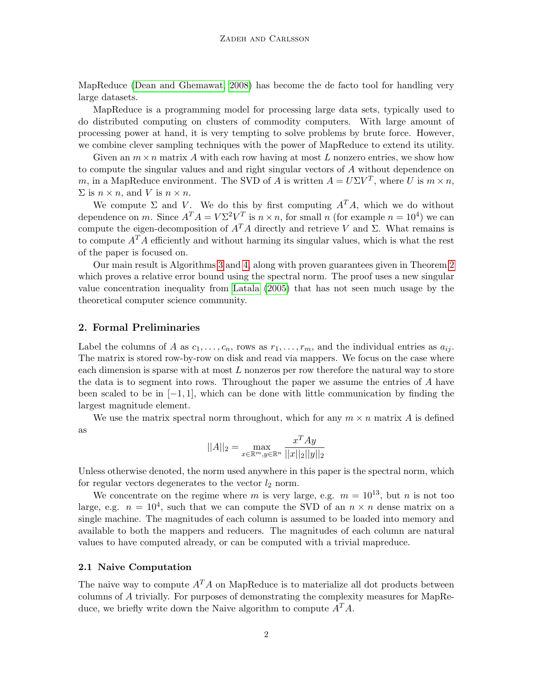MapReduce [\(Dean and Ghemawat, 2008\)](#page-13-7) has become the de facto tool for handling very large datasets.

MapReduce is a programming model for processing large data sets, typically used to do distributed computing on clusters of commodity computers. With large amount of processing power at hand, it is very tempting to solve problems by brute force. However, we combine clever sampling techniques with the power of MapReduce to extend its utility.

Given an  $m \times n$  matrix A with each row having at most L nonzero entries, we show how to compute the singular values and and right singular vectors of A without dependence on m, in a MapReduce environment. The SVD of A is written  $A = U\Sigma V^T$ , where U is  $m \times n$ ,  $\Sigma$  is  $n \times n$ , and V is  $n \times n$ .

We compute  $\Sigma$  and V. We do this by first computing  $A<sup>T</sup>A$ , which we do without dependence on m. Since  $A^T A = V \Sigma^2 V^T$  is  $n \times n$ , for small n (for example  $n = 10^4$ ) we can compute the eigen-decomposition of  $A<sup>T</sup>A$  directly and retrieve V and Σ. What remains is to compute  $A^T A$  efficiently and without harming its singular values, which is what the rest of the paper is focused on.

Our main result is Algorithms [3](#page-3-0) and [4,](#page-3-1) along with proven guarantees given in Theorem [2](#page-4-0) which proves a relative error bound using the spectral norm. The proof uses a new singular value concentration inequality from [Latala](#page-14-7) [\(2005\)](#page-14-7) that has not seen much usage by the theoretical computer science community.

### 2. Formal Preliminaries

Label the columns of A as  $c_1, \ldots, c_n$ , rows as  $r_1, \ldots, r_m$ , and the individual entries as  $a_{ij}$ . The matrix is stored row-by-row on disk and read via mappers. We focus on the case where each dimension is sparse with at most  $L$  nonzeros per row therefore the natural way to store the data is to segment into rows. Throughout the paper we assume the entries of A have been scaled to be in  $[-1, 1]$ , which can be done with little communication by finding the largest magnitude element.

We use the matrix spectral norm throughout, which for any  $m \times n$  matrix A is defined as

$$
||A||_2 = \max_{x \in \mathbb{R}^m, y \in \mathbb{R}^n} \frac{x^T A y}{||x||_2 ||y||_2}
$$

Unless otherwise denoted, the norm used anywhere in this paper is the spectral norm, which for regular vectors degenerates to the vector  $l_2$  norm.

We concentrate on the regime where m is very large, e.g.  $m = 10^{13}$ , but n is not too large, e.g.  $n = 10<sup>4</sup>$ , such that we can compute the SVD of an  $n \times n$  dense matrix on a single machine. The magnitudes of each column is assumed to be loaded into memory and available to both the mappers and reducers. The magnitudes of each column are natural values to have computed already, or can be computed with a trivial mapreduce.

#### 2.1 Naive Computation

The naive way to compute  $A<sup>T</sup>A$  on MapReduce is to materialize all dot products between columns of A trivially. For purposes of demonstrating the complexity measures for MapReduce, we briefly write down the Naive algorithm to compute  $A<sup>T</sup>A$ .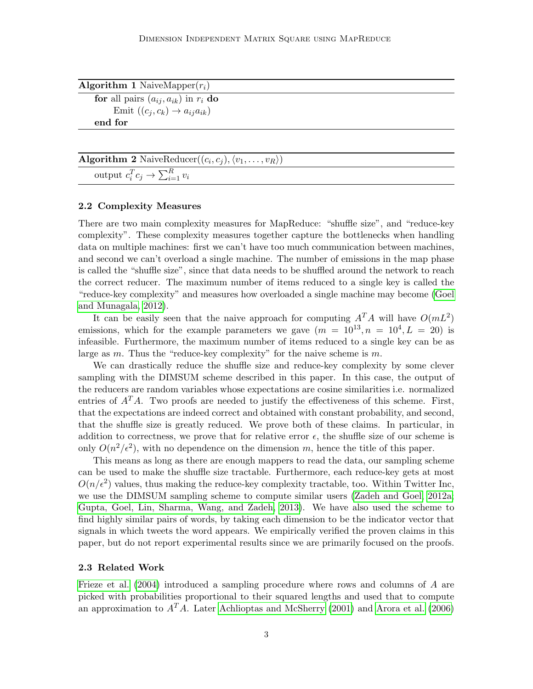| <b>Algorithm 1</b> NaiveMapper $(r_i)$       |  |
|----------------------------------------------|--|
| for all pairs $(a_{ij}, a_{ik})$ in $r_i$ do |  |
| Emit $((c_j, c_k) \rightarrow a_{ij}a_{ik})$ |  |
| end for                                      |  |
|                                              |  |

**Algorithm 2** NaiveReducer $((c_i, c_j), \langle v_1, \ldots, v_R \rangle)$ 

output  $c_i^T c_j \to \sum_{i=1}^R v_i$ 

#### 2.2 Complexity Measures

There are two main complexity measures for MapReduce: "shuffle size", and "reduce-key complexity". These complexity measures together capture the bottlenecks when handling data on multiple machines: first we can't have too much communication between machines, and second we can't overload a single machine. The number of emissions in the map phase is called the "shuffle size", since that data needs to be shuffled around the network to reach the correct reducer. The maximum number of items reduced to a single key is called the "reduce-key complexity" and measures how overloaded a single machine may become [\(Goel](#page-14-8) [and Munagala, 2012\)](#page-14-8).

It can be easily seen that the naive approach for computing  $A<sup>T</sup>A$  will have  $O(mL^2)$ emissions, which for the example parameters we gave  $(m = 10^{13}, n = 10^4, L = 20)$  is infeasible. Furthermore, the maximum number of items reduced to a single key can be as large as  $m$ . Thus the "reduce-key complexity" for the naive scheme is  $m$ .

We can drastically reduce the shuffle size and reduce-key complexity by some clever sampling with the DIMSUM scheme described in this paper. In this case, the output of the reducers are random variables whose expectations are cosine similarities i.e. normalized entries of  $A<sup>T</sup>A$ . Two proofs are needed to justify the effectiveness of this scheme. First, that the expectations are indeed correct and obtained with constant probability, and second, that the shuffle size is greatly reduced. We prove both of these claims. In particular, in addition to correctness, we prove that for relative error  $\epsilon$ , the shuffle size of our scheme is only  $O(n^2/\epsilon^2)$ , with no dependence on the dimension m, hence the title of this paper.

This means as long as there are enough mappers to read the data, our sampling scheme can be used to make the shuffle size tractable. Furthermore, each reduce-key gets at most  $O(n/\epsilon^2)$  values, thus making the reduce-key complexity tractable, too. Within Twitter Inc, we use the DIMSUM sampling scheme to compute similar users [\(Zadeh and Goel, 2012a;](#page-14-9) [Gupta, Goel, Lin, Sharma, Wang, and Zadeh, 2013\)](#page-14-10). We have also used the scheme to find highly similar pairs of words, by taking each dimension to be the indicator vector that signals in which tweets the word appears. We empirically verified the proven claims in this paper, but do not report experimental results since we are primarily focused on the proofs.

#### 2.3 Related Work

[Frieze et al.](#page-14-0) [\(2004\)](#page-14-0) introduced a sampling procedure where rows and columns of A are picked with probabilities proportional to their squared lengths and used that to compute an approximation to  $A<sup>T</sup>A$ . Later [Achlioptas and McSherry](#page-13-8) [\(2001\)](#page-13-8) and [Arora et al.](#page-13-9) [\(2006\)](#page-13-9)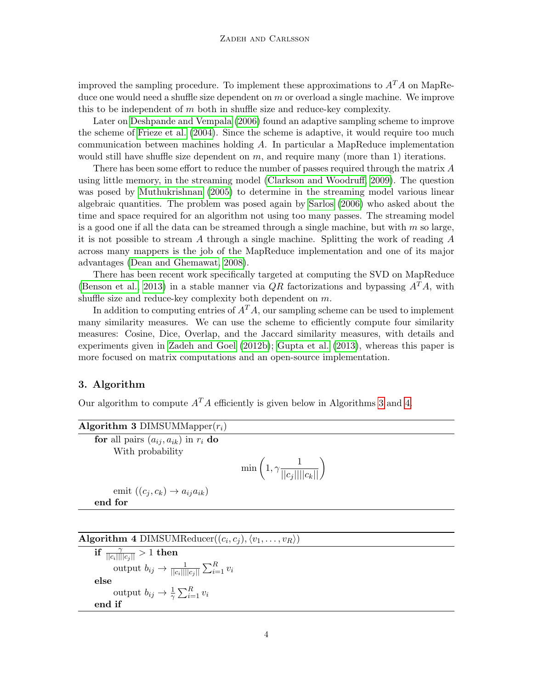improved the sampling procedure. To implement these approximations to  $A<sup>T</sup>A$  on MapReduce one would need a shuffle size dependent on  $m$  or overload a single machine. We improve this to be independent of  $m$  both in shuffle size and reduce-key complexity.

Later on [Deshpande and Vempala](#page-13-10) [\(2006\)](#page-13-10) found an adaptive sampling scheme to improve the scheme of [Frieze et al.](#page-14-0) [\(2004\)](#page-14-0). Since the scheme is adaptive, it would require too much communication between machines holding A. In particular a MapReduce implementation would still have shuffle size dependent on  $m$ , and require many (more than 1) iterations.

There has been some effort to reduce the number of passes required through the matrix A using little memory, in the streaming model [\(Clarkson and Woodruff, 2009\)](#page-13-11). The question was posed by [Muthukrishnan](#page-14-11) [\(2005\)](#page-14-11) to determine in the streaming model various linear algebraic quantities. The problem was posed again by [Sarlos](#page-14-12) [\(2006\)](#page-14-12) who asked about the time and space required for an algorithm not using too many passes. The streaming model is a good one if all the data can be streamed through a single machine, but with  $m$  so large, it is not possible to stream A through a single machine. Splitting the work of reading  $A$ across many mappers is the job of the MapReduce implementation and one of its major advantages [\(Dean and Ghemawat, 2008\)](#page-13-7).

There has been recent work specifically targeted at computing the SVD on MapReduce [\(Benson et al., 2013\)](#page-13-12) in a stable manner via  $QR$  factorizations and bypassing  $A<sup>T</sup>A$ , with shuffle size and reduce-key complexity both dependent on  $m$ .

In addition to computing entries of  $A<sup>T</sup>A$ , our sampling scheme can be used to implement many similarity measures. We can use the scheme to efficiently compute four similarity measures: Cosine, Dice, Overlap, and the Jaccard similarity measures, with details and experiments given in [Zadeh and Goel](#page-14-13) [\(2012b\)](#page-14-13); [Gupta et al.](#page-14-10) [\(2013\)](#page-14-10), whereas this paper is more focused on matrix computations and an open-source implementation.

## 3. Algorithm

Our algorithm to compute  $A<sup>T</sup>A$  efficiently is given below in Algorithms [3](#page-3-0) and [4.](#page-3-1)

<span id="page-3-0"></span>

| Algorithm 3 DIMSUMMapper $(r_i)$                                 |                                                       |
|------------------------------------------------------------------|-------------------------------------------------------|
| for all pairs $(a_{ij}, a_{ik})$ in $r_i$ do<br>With probability |                                                       |
|                                                                  | $\min\left(1, \gamma \frac{1}{  c_j    c_k  }\right)$ |
| emit $((c_i, c_k) \rightarrow a_{ij}a_{ik})$                     |                                                       |
| end for                                                          |                                                       |

<span id="page-3-1"></span>

| Algorithm 4 DIMSUMReducer $((c_i, c_j), \langle v_1, \ldots, v_R \rangle)$ |  |
|----------------------------------------------------------------------------|--|
|----------------------------------------------------------------------------|--|

 $\overline{\text{if } \frac{\gamma}{||c_i||||c_j||}}>1 \text{ then}$ output  $b_{ij} \rightarrow \frac{1}{||c_i|| ||c_j||} \sum_{i=1}^R v_i$ else output  $b_{ij} \rightarrow \frac{1}{\gamma} \sum_{i=1}^{R} v_i$ end if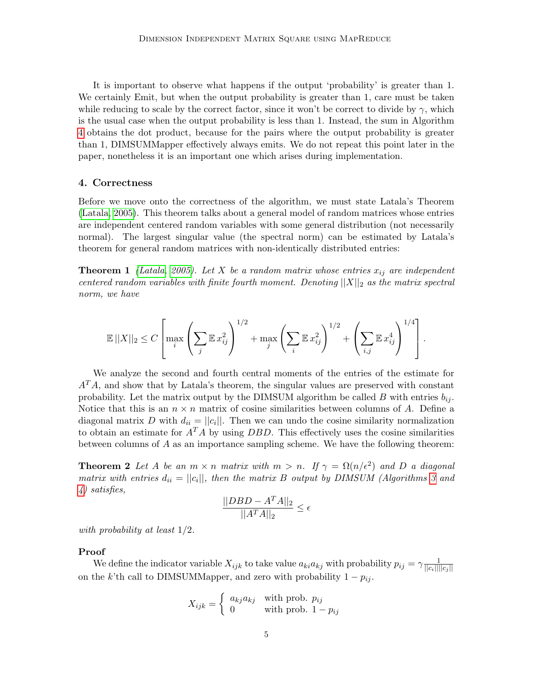It is important to observe what happens if the output 'probability' is greater than 1. We certainly Emit, but when the output probability is greater than 1, care must be taken while reducing to scale by the correct factor, since it won't be correct to divide by  $\gamma$ , which is the usual case when the output probability is less than 1. Instead, the sum in Algorithm [4](#page-3-1) obtains the dot product, because for the pairs where the output probability is greater than 1, DIMSUMMapper effectively always emits. We do not repeat this point later in the paper, nonetheless it is an important one which arises during implementation.

#### 4. Correctness

Before we move onto the correctness of the algorithm, we must state Latala's Theorem [\(Latala, 2005\)](#page-14-7). This theorem talks about a general model of random matrices whose entries are independent centered random variables with some general distribution (not necessarily normal). The largest singular value (the spectral norm) can be estimated by Latala's theorem for general random matrices with non-identically distributed entries:

<span id="page-4-1"></span>**Theorem 1** [\(Latala, 2005\)](#page-14-7). Let X be a random matrix whose entries  $x_{ij}$  are independent centered random variables with finite fourth moment. Denoting  $||X||_2$  as the matrix spectral norm, we have

$$
\mathbb{E} \left\|X\right\|_2 \leq C \left[\max_i \left(\sum_j \mathbb{E} x_{ij}^2\right)^{1/2} + \max_j \left(\sum_i \mathbb{E} x_{ij}^2\right)^{1/2} + \left(\sum_{i,j} \mathbb{E} x_{ij}^4\right)^{1/4}\right].
$$

We analyze the second and fourth central moments of the entries of the estimate for  $A<sup>T</sup>A$ , and show that by Latala's theorem, the singular values are preserved with constant probability. Let the matrix output by the DIMSUM algorithm be called B with entries  $b_{ij}$ . Notice that this is an  $n \times n$  matrix of cosine similarities between columns of A. Define a diagonal matrix D with  $d_{ii} = ||c_i||$ . Then we can undo the cosine similarity normalization to obtain an estimate for  $A<sup>T</sup>A$  by using *DBD*. This effectively uses the cosine similarities between columns of A as an importance sampling scheme. We have the following theorem:

<span id="page-4-0"></span>**Theorem 2** Let A be an  $m \times n$  matrix with  $m > n$ . If  $\gamma = \Omega(n/\epsilon^2)$  and D a diagonal matrix with entries  $d_{ii} = ||c_i||$ , then the matrix B output by DIMSUM (Algorithms [3](#page-3-0) and [4\)](#page-3-1) satisfies,

$$
\frac{||DBD - A^T A||_2}{||A^T A||_2} \le \epsilon
$$

with probability at least 1/2.

#### Proof

We define the indicator variable  $X_{ijk}$  to take value  $a_{ki}a_{kj}$  with probability  $p_{ij} = \gamma \frac{1}{\|G_i\| \|}$  $||c_i|| ||c_j||$ on the k'th call to DIMSUMMapper, and zero with probability  $1 - p_{ij}$ .

$$
X_{ijk} = \begin{cases} a_{kj}a_{kj} & \text{with prob. } p_{ij} \\ 0 & \text{with prob. } 1 - p_{ij} \end{cases}
$$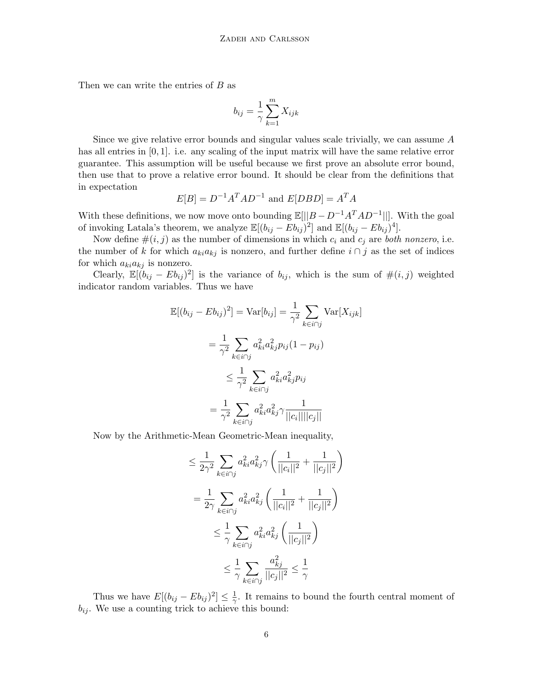Then we can write the entries of  $B$  as

$$
b_{ij} = \frac{1}{\gamma} \sum_{k=1}^{m} X_{ijk}
$$

Since we give relative error bounds and singular values scale trivially, we can assume A has all entries in [0, 1]. i.e. any scaling of the input matrix will have the same relative error guarantee. This assumption will be useful because we first prove an absolute error bound, then use that to prove a relative error bound. It should be clear from the definitions that in expectation

$$
E[B] = D^{-1}A^T A D^{-1} \text{ and } E[DBD] = A^T A
$$

With these definitions, we now move onto bounding  $\mathbb{E}[||B - D^{-1}A^{T}AD^{-1}||]$ . With the goal of invoking Latala's theorem, we analyze  $\mathbb{E}[(b_{ij} - Eb_{ij})^2]$  and  $\mathbb{E}[(b_{ij} - Eb_{ij})^4]$ .

Now define  $\#(i, j)$  as the number of dimensions in which  $c_i$  and  $c_j$  are both nonzero, i.e. the number of k for which  $a_{ki}a_{kj}$  is nonzero, and further define  $i \cap j$  as the set of indices for which  $a_{ki}a_{kj}$  is nonzero.

Clearly,  $\mathbb{E}[(b_{ij} - Eb_{ij})^2]$  is the variance of  $b_{ij}$ , which is the sum of  $\#(i, j)$  weighted indicator random variables. Thus we have

$$
\mathbb{E}[(b_{ij} - Eb_{ij})^2] = \text{Var}[b_{ij}] = \frac{1}{\gamma^2} \sum_{k \in i \cap j} \text{Var}[X_{ijk}]
$$

$$
= \frac{1}{\gamma^2} \sum_{k \in i \cap j} a_{ki}^2 a_{kj}^2 p_{ij} (1 - p_{ij})
$$

$$
\leq \frac{1}{\gamma^2} \sum_{k \in i \cap j} a_{ki}^2 a_{kj}^2 p_{ij}
$$

$$
= \frac{1}{\gamma^2} \sum_{k \in i \cap j} a_{ki}^2 a_{kj}^2 \gamma \frac{1}{||c_i|| ||c_j||}
$$

Now by the Arithmetic-Mean Geometric-Mean inequality,

$$
\leq \frac{1}{2\gamma^2} \sum_{k \in i \cap j} a_{ki}^2 a_{kj}^2 \gamma \left( \frac{1}{||c_i||^2} + \frac{1}{||c_j||^2} \right)
$$
  

$$
= \frac{1}{2\gamma} \sum_{k \in i \cap j} a_{ki}^2 a_{kj}^2 \left( \frac{1}{||c_i||^2} + \frac{1}{||c_j||^2} \right)
$$
  

$$
\leq \frac{1}{\gamma} \sum_{k \in i \cap j} a_{ki}^2 a_{kj}^2 \left( \frac{1}{||c_j||^2} \right)
$$
  

$$
\leq \frac{1}{\gamma} \sum_{k \in i \cap j} \frac{a_{kj}^2}{||c_j||^2} \leq \frac{1}{\gamma}
$$

Thus we have  $E[(b_{ij} - Eb_{ij})^2] \leq \frac{1}{\gamma}$  $\frac{1}{\gamma}$ . It remains to bound the fourth central moment of  $b_{ij}$ . We use a counting trick to achieve this bound: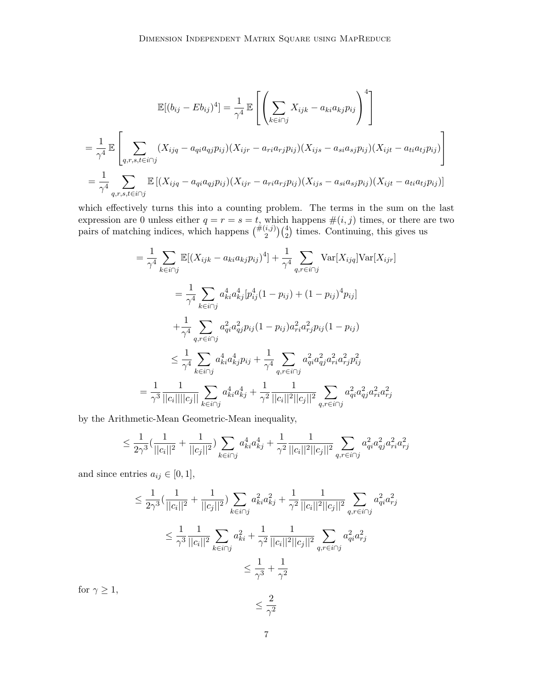$$
\mathbb{E}[(b_{ij} - Eb_{ij})^4] = \frac{1}{\gamma^4} \mathbb{E}\left[\left(\sum_{k \in i \cap j} X_{ijk} - a_{ki}a_{kj}p_{ij}\right)^4\right]
$$
  
\n
$$
= \frac{1}{\gamma^4} \mathbb{E}\left[\sum_{q,r,s,t \in i \cap j} (X_{ijq} - a_{qi}a_{qj}p_{ij})(X_{ijr} - a_{ri}a_{rj}p_{ij})(X_{ijs} - a_{si}a_{sj}p_{ij})(X_{ijt} - a_{ti}a_{tj}p_{ij})\right]
$$
  
\n
$$
= \frac{1}{\gamma^4} \sum_{q,r,s,t \in i \cap j} \mathbb{E}[(X_{ijq} - a_{qi}a_{qj}p_{ij})(X_{ijr} - a_{ri}a_{rj}p_{ij})(X_{ijs} - a_{si}a_{sj}p_{ij})(X_{ijt} - a_{ti}a_{tj}p_{ij})]
$$

which effectively turns this into a counting problem. The terms in the sum on the last expression are 0 unless either  $q = r = s = t$ , which happens  $\#(i, j)$  times, or there are two pairs of matching indices, which happens  $\binom{\#(i,j)}{2}\binom{4}{2}$  times. Continuing, this gives us

$$
= \frac{1}{\gamma^4} \sum_{k \in i \cap j} \mathbb{E}[(X_{ijk} - a_{ki}a_{kj}p_{ij})^4] + \frac{1}{\gamma^4} \sum_{q,r \in i \cap j} \text{Var}[X_{ijq}]\text{Var}[X_{ijr}]
$$
  
\n
$$
= \frac{1}{\gamma^4} \sum_{k \in i \cap j} a_{ki}^4 a_{kj}^4 [p_{ij}^4 (1 - p_{ij}) + (1 - p_{ij})^4 p_{ij}]
$$
  
\n
$$
+ \frac{1}{\gamma^4} \sum_{q,r \in i \cap j} a_{qi}^2 a_{qj}^2 p_{ij} (1 - p_{ij}) a_{ri}^2 a_{rj}^2 p_{ij} (1 - p_{ij})
$$
  
\n
$$
\leq \frac{1}{\gamma^4} \sum_{k \in i \cap j} a_{ki}^4 a_{kj}^4 p_{ij} + \frac{1}{\gamma^4} \sum_{q,r \in i \cap j} a_{qi}^2 a_{qi}^2 a_{ri}^2 a_{rj}^2 p_{ij}^2
$$
  
\n
$$
= \frac{1}{\gamma^3} \frac{1}{||c_i|| ||c_j||} \sum_{k \in i \cap j} a_{ki}^4 a_{kj}^4 + \frac{1}{\gamma^2} \frac{1}{||c_i||^2 ||c_j||^2} \sum_{q,r \in i \cap j} a_{qi}^2 a_{qi}^2 a_{qi}^2 a_{ri}^2 a_{rj}^2
$$

by the Arithmetic-Mean Geometric-Mean inequality,

$$
\leq \frac{1}{2\gamma^3} \left( \frac{1}{||c_i||^2} + \frac{1}{||c_j||^2} \right) \sum_{k \in i \cap j} a_{ki}^4 a_{kj}^4 + \frac{1}{\gamma^2} \frac{1}{||c_i||^2 ||c_j||^2} \sum_{q, r \in i \cap j} a_{qi}^2 a_{qj}^2 a_{ri}^2 a_{rj}^2
$$

and since entries  $a_{ij} \in [0, 1],$ 

$$
\leq \frac{1}{2\gamma^3} \left( \frac{1}{||c_i||^2} + \frac{1}{||c_j||^2} \right) \sum_{k \in i \cap j} a_{ki}^2 a_{kj}^2 + \frac{1}{\gamma^2} \frac{1}{||c_i||^2 ||c_j||^2} \sum_{q, r \in i \cap j} a_{qi}^2 a_{rj}^2
$$
  

$$
\leq \frac{1}{\gamma^3} \frac{1}{||c_i||^2} \sum_{k \in i \cap j} a_{ki}^2 + \frac{1}{\gamma^2} \frac{1}{||c_i||^2 ||c_j||^2} \sum_{q, r \in i \cap j} a_{qi}^2 a_{rj}^2
$$
  

$$
\leq \frac{1}{\gamma^3} + \frac{1}{\gamma^2}
$$

for  $\gamma \geq 1$ ,

$$
\frac{1}{\sqrt{2}}
$$

 $\leq \frac{2}{a}$  $\gamma^2$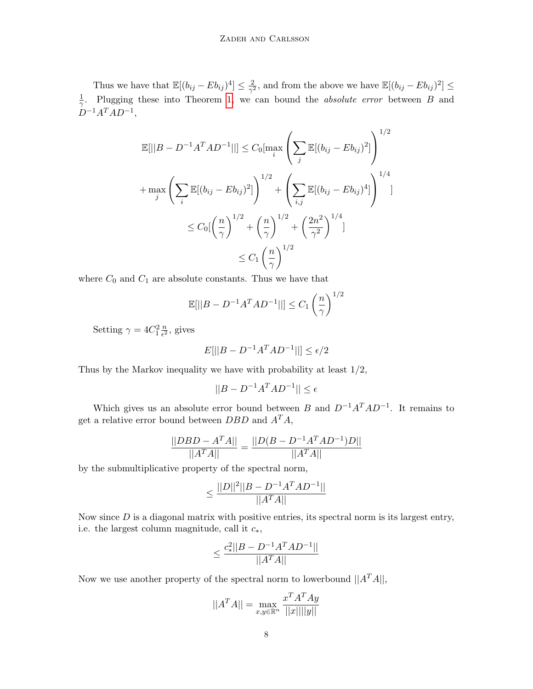Thus we have that  $\mathbb{E}[(b_{ij} - Eb_{ij})^4] \leq \frac{2}{\gamma^2}$  $\frac{2}{\gamma^2}$ , and from the above we have  $\mathbb{E}[(b_{ij} - Eb_{ij})^2] \leq$ 1 <sup>1</sup>/<sub>7</sub>. Plugging these into Theorem [1,](#page-4-1) we can bound the *absolute error* between B and  $D^{-1}A^TAD^{-1},$ 

$$
\mathbb{E}[||B - D^{-1}A^{T}AD^{-1}||] \leq C_{0}[\max_{i} \left( \sum_{j} \mathbb{E}[(b_{ij} - Eb_{ij})^{2}] \right)^{1/2} \n+ \max_{j} \left( \sum_{i} \mathbb{E}[(b_{ij} - Eb_{ij})^{2}] \right)^{1/2} + \left( \sum_{i,j} \mathbb{E}[(b_{ij} - Eb_{ij})^{4}] \right)^{1/4} \n\leq C_{0} \left[ \left( \frac{n}{\gamma} \right)^{1/2} + \left( \frac{n}{\gamma} \right)^{1/2} + \left( \frac{2n^{2}}{\gamma^{2}} \right)^{1/4} \right] \n\leq C_{1} \left( \frac{n}{\gamma} \right)^{1/2}
$$

where  $C_0$  and  $C_1$  are absolute constants. Thus we have that

$$
\mathbb{E}[||B - D^{-1}A^T A D^{-1}||] \le C_1 \left(\frac{n}{\gamma}\right)^{1/2}
$$

Setting  $\gamma = 4C_1^2 \frac{n}{\epsilon^2}$  $\frac{n}{\epsilon^2}$ , gives

$$
E[||B - D^{-1}A^{T}AD^{-1}||] \le \epsilon/2
$$

Thus by the Markov inequality we have with probability at least 1/2,

$$
||B - D^{-1}A^T A D^{-1}|| \le \epsilon
$$

Which gives us an absolute error bound between B and  $D^{-1}A^TAD^{-1}$ . It remains to get a relative error bound between  $DBD$  and  $A<sup>T</sup>A$ ,

$$
\frac{||DBD - A^T A||}{||A^T A||} = \frac{||D(B - D^{-1}A^T A D^{-1})D||}{||A^T A||}
$$

by the submultiplicative property of the spectral norm,

$$
\leq \frac{||D||^2||B - D^{-1}A^TAD^{-1}||}{||A^TA||}
$$

Now since  $D$  is a diagonal matrix with positive entries, its spectral norm is its largest entry, i.e. the largest column magnitude, call it  $c_*,$ 

$$
\leq \frac{c_*^2 ||B-D^{-1}A^TAD^{-1}||}{||A^TA||}
$$

Now we use another property of the spectral norm to lowerbound  $||A<sup>T</sup>A||$ ,

$$
||A^T A|| = \max_{x,y \in \mathbb{R}^n} \frac{x^T A^T A y}{||x|| ||y||}
$$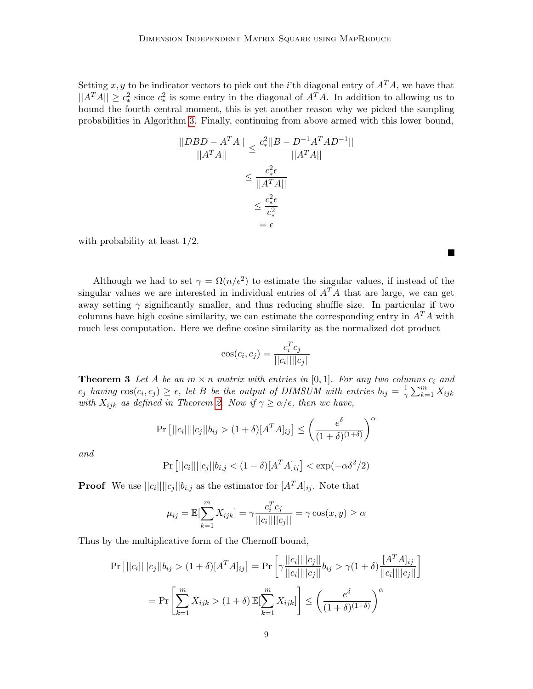Setting x, y to be indicator vectors to pick out the *i*'th diagonal entry of  $A<sup>T</sup>A$ , we have that  $||A^T A|| \geq c_*^2$  since  $c_*^2$  is some entry in the diagonal of  $A^T A$ . In addition to allowing us to bound the fourth central moment, this is yet another reason why we picked the sampling probabilities in Algorithm [3.](#page-3-0) Finally, continuing from above armed with this lower bound,

$$
\frac{||DBD - A^{T}A||}{||A^{T}A||} \leq \frac{c_*^2 ||B - D^{-1}A^{T}AD^{-1}||}{||A^{T}A||}
$$

$$
\leq \frac{c_*^2 \epsilon}{||A^{T}A||}
$$

$$
\leq \frac{c_*^2 \epsilon}{c_*^2}
$$

$$
= \epsilon
$$

with probability at least  $1/2$ .

Although we had to set  $\gamma = \Omega(n/\epsilon^2)$  to estimate the singular values, if instead of the singular values we are interested in individual entries of  $A<sup>T</sup>A$  that are large, we can get away setting  $\gamma$  significantly smaller, and thus reducing shuffle size. In particular if two columns have high cosine similarity, we can estimate the corresponding entry in  $A<sup>T</sup>A$  with much less computation. Here we define cosine similarity as the normalized dot product

П

$$
\cos(c_i, c_j) = \frac{c_i^T c_j}{||c_i|| ||c_j||}
$$

<span id="page-8-0"></span>**Theorem 3** Let A be an  $m \times n$  matrix with entries in [0,1]. For any two columns  $c_i$  and  $c_j$  having  $\cos(c_i, c_j) \geq \epsilon$ , let B be the output of DIMSUM with entries  $b_{ij} = \frac{1}{\gamma}$  $\frac{1}{\gamma} \sum_{k=1}^{m} X_{ijk}$ with  $X_{ijk}$  as defined in Theorem [2.](#page-4-0) Now if  $\gamma \geq \alpha/\epsilon$ , then we have,

$$
\Pr\left[||c_i||||c_j||b_{ij} > (1+\delta)[A^T A]_{ij}\right] \le \left(\frac{e^{\delta}}{(1+\delta)^{(1+\delta)}}\right)^{\alpha}
$$

and

$$
Pr\left[||c_i|| ||c_j|| |b_{i,j} < (1 - \delta)[A^T A]_{ij}\right] < \exp(-\alpha \delta^2 / 2)
$$

**Proof** We use  $||c_i|| ||c_j|| b_{i,j}$  as the estimator for  $[A^T A]_{ij}$ . Note that

$$
\mu_{ij} = \mathbb{E}[\sum_{k=1}^{m} X_{ijk}] = \gamma \frac{c_i^T c_j}{||c_i|| ||c_j||} = \gamma \cos(x, y) \ge \alpha
$$

Thus by the multiplicative form of the Chernoff bound,

$$
\Pr\left[||c_i||||c_j||b_{ij} > (1+\delta)[A^T A]_{ij}\right] = \Pr\left[\gamma \frac{||c_i||||c_j||}{||c_i||||c_j||}b_{ij} > \gamma (1+\delta) \frac{[A^T A]_{ij}}{||c_i||||c_j||}\right]
$$
\n
$$
= \Pr\left[\sum_{k=1}^m X_{ijk} > (1+\delta) \mathbb{E}[\sum_{k=1}^m X_{ijk}]\right] \le \left(\frac{e^{\delta}}{(1+\delta)^{(1+\delta)}}\right)^{\alpha}
$$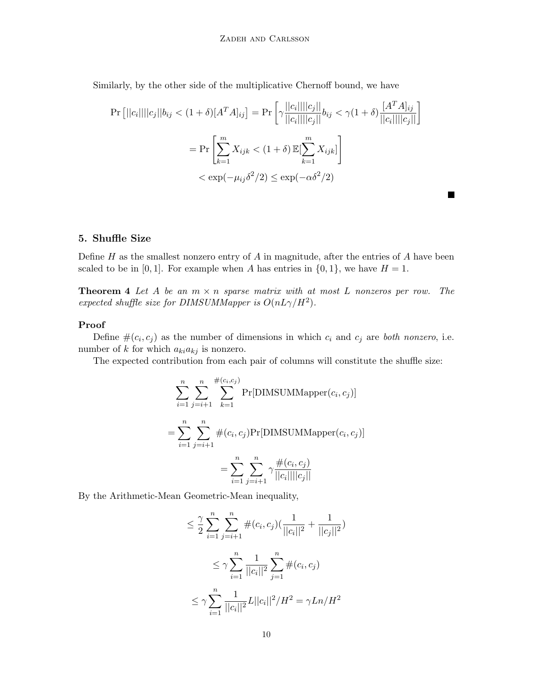Similarly, by the other side of the multiplicative Chernoff bound, we have

$$
\Pr\left[||c_i|| ||c_j|| b_{ij} < (1+\delta)[A^T A]_{ij}\right] = \Pr\left[\gamma \frac{||c_i|| ||c_j||}{||c_i|| ||c_j||} b_{ij} < \gamma (1+\delta) \frac{[A^T A]_{ij}}{||c_i|| ||c_j||}\right]
$$
\n
$$
= \Pr\left[\sum_{k=1}^m X_{ijk} < (1+\delta) \mathbb{E}[\sum_{k=1}^m X_{ijk}] \right]
$$
\n
$$
< \exp(-\mu_{ij}\delta^2/2) \le \exp(-\alpha \delta^2/2)
$$

 $\blacksquare$ 

## 5. Shuffle Size

Define  $H$  as the smallest nonzero entry of  $A$  in magnitude, after the entries of  $A$  have been scaled to be in [0,1]. For example when A has entries in  $\{0, 1\}$ , we have  $H = 1$ .

**Theorem 4** Let A be an  $m \times n$  sparse matrix with at most L nonzeros per row. The expected shuffle size for DIMSUMMapper is  $O(nL\gamma/H^2)$ .

### Proof

Define  $\#(c_i, c_j)$  as the number of dimensions in which  $c_i$  and  $c_j$  are both nonzero, i.e. number of k for which  $a_{ki}a_{kj}$  is nonzero.

The expected contribution from each pair of columns will constitute the shuffle size:

$$
\sum_{i=1}^{n} \sum_{j=i+1}^{n} \sum_{k=1}^{\#(c_i, c_j)} \Pr[\text{DIMSUMMapper}(c_i, c_j)]
$$
  
= 
$$
\sum_{i=1}^{n} \sum_{j=i+1}^{n} \#(c_i, c_j) \Pr[\text{DIMSUMMapper}(c_i, c_j)]
$$
  
= 
$$
\sum_{i=1}^{n} \sum_{j=i+1}^{n} \gamma \frac{\#(c_i, c_j)}{||c_i|| ||c_j||}
$$

By the Arithmetic-Mean Geometric-Mean inequality,

$$
\leq \frac{\gamma}{2} \sum_{i=1}^{n} \sum_{j=i+1}^{n} \#(c_i, c_j) \left(\frac{1}{||c_i||^2} + \frac{1}{||c_j||^2}\right)
$$
  

$$
\leq \gamma \sum_{i=1}^{n} \frac{1}{||c_i||^2} \sum_{j=1}^{n} \#(c_i, c_j)
$$
  

$$
\leq \gamma \sum_{i=1}^{n} \frac{1}{||c_i||^2} L||c_i||^2 / H^2 = \gamma L n / H^2
$$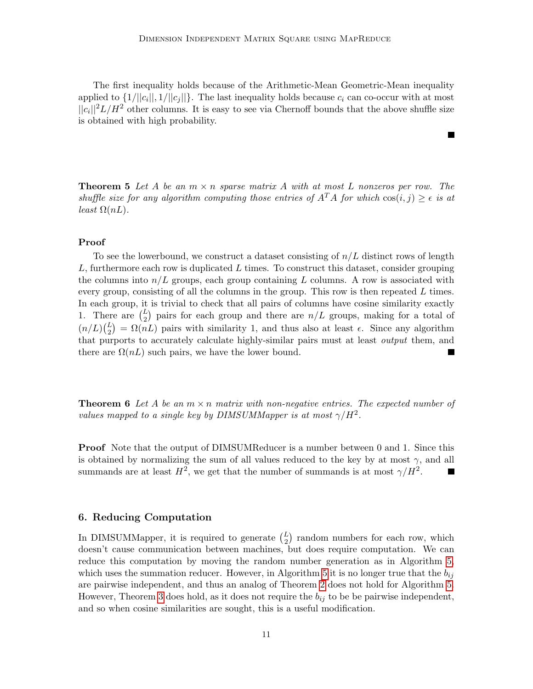The first inequality holds because of the Arithmetic-Mean Geometric-Mean inequality applied to  $\{1/||c_i||, 1/||c_j||\}$ . The last inequality holds because  $c_i$  can co-occur with at most  $||c_i||^2L/H^2$  other columns. It is easy to see via Chernoff bounds that the above shuffle size is obtained with high probability.

**Theorem 5** Let A be an  $m \times n$  sparse matrix A with at most L nonzeros per row. The shuffle size for any algorithm computing those entries of  $A<sup>T</sup>A$  for which  $cos(i, j) > \epsilon$  is at least  $\Omega(nL)$ .

#### Proof

To see the lowerbound, we construct a dataset consisting of  $n/L$  distinct rows of length  $L$ , furthermore each row is duplicated  $L$  times. To construct this dataset, consider grouping the columns into  $n/L$  groups, each group containing L columns. A row is associated with every group, consisting of all the columns in the group. This row is then repeated  $L$  times. In each group, it is trivial to check that all pairs of columns have cosine similarity exactly 1. There are  $\binom{L}{2}$  pairs for each group and there are  $n/L$  groups, making for a total of  $(n/L)\binom{L}{2} = \Omega(nL)$  pairs with similarity 1, and thus also at least  $\epsilon$ . Since any algorithm that purports to accurately calculate highly-similar pairs must at least output them, and there are  $\Omega(nL)$  such pairs, we have the lower bound.

**Theorem 6** Let A be an  $m \times n$  matrix with non-negative entries. The expected number of values mapped to a single key by DIMSUMMapper is at most  $\gamma/H^2$ .

**Proof** Note that the output of DIMSUMReducer is a number between 0 and 1. Since this is obtained by normalizing the sum of all values reduced to the key by at most  $\gamma$ , and all summands are at least  $H^2$ , we get that the number of summands is at most  $\gamma/H^2$ .

### 6. Reducing Computation

In DIMSUMMapper, it is required to generate  $L_2$  random numbers for each row, which doesn't cause communication between machines, but does require computation. We can reduce this computation by moving the random number generation as in Algorithm [5,](#page-11-0) which uses the summation reducer. However, in Algorithm [5](#page-11-0) it is no longer true that the  $b_{ij}$ are pairwise independent, and thus an analog of Theorem [2](#page-4-0) does not hold for Algorithm [5.](#page-11-0) However, Theorem [3](#page-8-0) does hold, as it does not require the  $b_{ij}$  to be be pairwise independent, and so when cosine similarities are sought, this is a useful modification.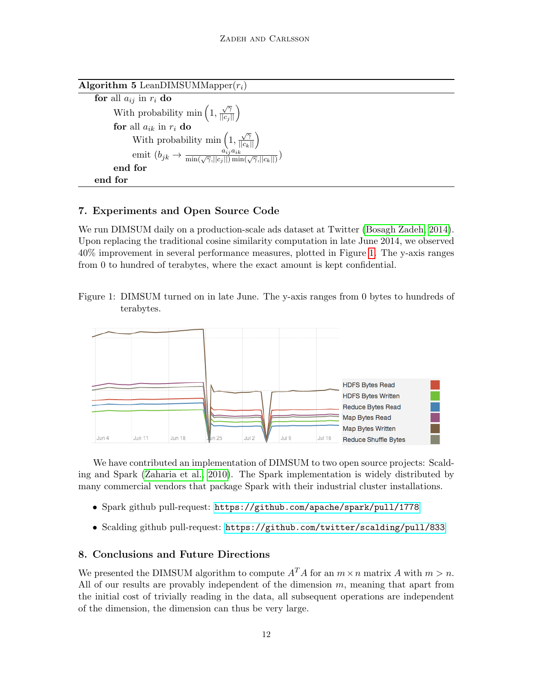<span id="page-11-0"></span>

| <b>Algorithm 5</b> LeanDIMSUMMapper $(r_i)$                                                                      |
|------------------------------------------------------------------------------------------------------------------|
| for all $a_{ij}$ in $r_i$ do                                                                                     |
| With probability min $\left(1, \frac{\sqrt{\gamma}}{\vert\vert c_j \vert\vert}\right)$                           |
| for all $a_{ik}$ in $r_i$ do                                                                                     |
| With probability min $\left(1, \frac{\sqrt{\gamma}}{\ c_k\ }\right)$                                             |
| emit $(b_{jk} \rightarrow \frac{a_{ij}^{\lambda}a_{ik}}{\min(\sqrt{\gamma},  c_j  )\min(\sqrt{\gamma},  c_k  )}$ |
| end for                                                                                                          |
| end for                                                                                                          |

## 7. Experiments and Open Source Code

We run DIMSUM daily on a production-scale ads dataset at Twitter [\(Bosagh Zadeh, 2014\)](#page-13-13). Upon replacing the traditional cosine similarity computation in late June 2014, we observed 40% improvement in several performance measures, plotted in Figure [1.](#page-11-1) The y-axis ranges from 0 to hundred of terabytes, where the exact amount is kept confidential.

<span id="page-11-1"></span>Figure 1: DIMSUM turned on in late June. The y-axis ranges from 0 bytes to hundreds of terabytes.



We have contributed an implementation of DIMSUM to two open source projects: Scalding and Spark [\(Zaharia et al., 2010\)](#page-14-14). The Spark implementation is widely distributed by many commercial vendors that package Spark with their industrial cluster installations.

- Spark github pull-request: <https://github.com/apache/spark/pull/1778>
- Scalding github pull-request: <https://github.com/twitter/scalding/pull/833>

## 8. Conclusions and Future Directions

We presented the DIMSUM algorithm to compute  $A<sup>T</sup>A$  for an  $m \times n$  matrix A with  $m > n$ . All of our results are provably independent of the dimension  $m$ , meaning that apart from the initial cost of trivially reading in the data, all subsequent operations are independent of the dimension, the dimension can thus be very large.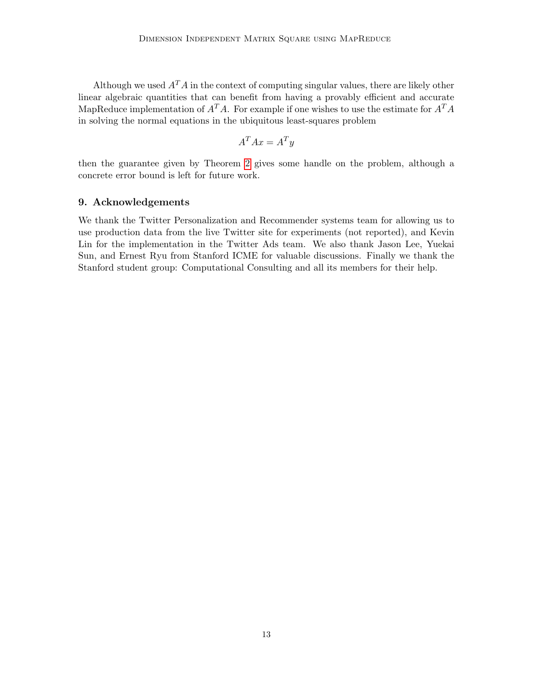Although we used  $A<sup>T</sup>A$  in the context of computing singular values, there are likely other linear algebraic quantities that can benefit from having a provably efficient and accurate MapReduce implementation of  $A<sup>T</sup>A$ . For example if one wishes to use the estimate for  $A<sup>T</sup>A$ in solving the normal equations in the ubiquitous least-squares problem

$$
A^T A x = A^T y
$$

then the guarantee given by Theorem [2](#page-4-0) gives some handle on the problem, although a concrete error bound is left for future work.

## 9. Acknowledgements

We thank the Twitter Personalization and Recommender systems team for allowing us to use production data from the live Twitter site for experiments (not reported), and Kevin Lin for the implementation in the Twitter Ads team. We also thank Jason Lee, Yuekai Sun, and Ernest Ryu from Stanford ICME for valuable discussions. Finally we thank the Stanford student group: Computational Consulting and all its members for their help.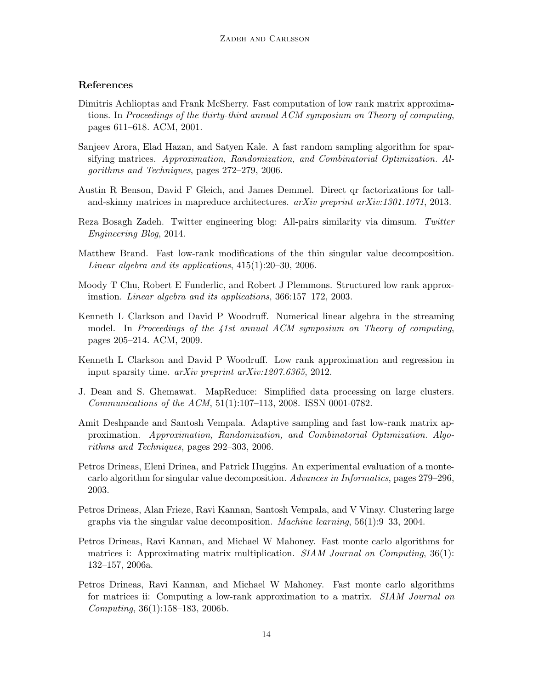## References

- <span id="page-13-8"></span>Dimitris Achlioptas and Frank McSherry. Fast computation of low rank matrix approximations. In Proceedings of the thirty-third annual ACM symposium on Theory of computing, pages 611–618. ACM, 2001.
- <span id="page-13-9"></span>Sanjeev Arora, Elad Hazan, and Satyen Kale. A fast random sampling algorithm for sparsifying matrices. Approximation, Randomization, and Combinatorial Optimization. Algorithms and Techniques, pages 272–279, 2006.
- <span id="page-13-12"></span>Austin R Benson, David F Gleich, and James Demmel. Direct qr factorizations for talland-skinny matrices in mapreduce architectures. arXiv preprint arXiv:1301.1071, 2013.
- <span id="page-13-13"></span>Reza Bosagh Zadeh. Twitter engineering blog: All-pairs similarity via dimsum. Twitter Engineering Blog, 2014.
- <span id="page-13-5"></span>Matthew Brand. Fast low-rank modifications of the thin singular value decomposition. Linear algebra and its applications, 415(1):20–30, 2006.
- <span id="page-13-6"></span>Moody T Chu, Robert E Funderlic, and Robert J Plemmons. Structured low rank approximation. Linear algebra and its applications, 366:157–172, 2003.
- <span id="page-13-11"></span>Kenneth L Clarkson and David P Woodruff. Numerical linear algebra in the streaming model. In Proceedings of the 41st annual ACM symposium on Theory of computing, pages 205–214. ACM, 2009.
- <span id="page-13-4"></span>Kenneth L Clarkson and David P Woodruff. Low rank approximation and regression in input sparsity time. arXiv preprint arXiv:1207.6365, 2012.
- <span id="page-13-7"></span>J. Dean and S. Ghemawat. MapReduce: Simplified data processing on large clusters. Communications of the ACM, 51(1):107–113, 2008. ISSN 0001-0782.
- <span id="page-13-10"></span>Amit Deshpande and Santosh Vempala. Adaptive sampling and fast low-rank matrix approximation. Approximation, Randomization, and Combinatorial Optimization. Algorithms and Techniques, pages 292–303, 2006.
- <span id="page-13-2"></span>Petros Drineas, Eleni Drinea, and Patrick Huggins. An experimental evaluation of a montecarlo algorithm for singular value decomposition. Advances in Informatics, pages 279–296, 2003.
- <span id="page-13-3"></span>Petros Drineas, Alan Frieze, Ravi Kannan, Santosh Vempala, and V Vinay. Clustering large graphs via the singular value decomposition. *Machine learning*,  $56(1):9-33$ ,  $2004$ .
- <span id="page-13-0"></span>Petros Drineas, Ravi Kannan, and Michael W Mahoney. Fast monte carlo algorithms for matrices i: Approximating matrix multiplication. *SIAM Journal on Computing*, 36(1): 132–157, 2006a.
- <span id="page-13-1"></span>Petros Drineas, Ravi Kannan, and Michael W Mahoney. Fast monte carlo algorithms for matrices ii: Computing a low-rank approximation to a matrix. SIAM Journal on Computing, 36(1):158–183, 2006b.